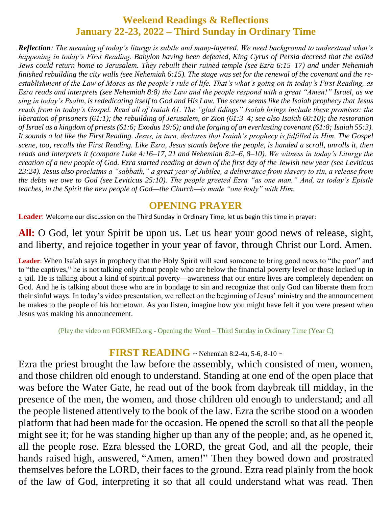# **Weekend Readings & Reflections January 22-23, 2022 – Third Sunday in Ordinary Time**

*Reflection: The meaning of today's liturgy is subtle and many-layered. We need background to understand what's happening in today's First Reading. Babylon having been defeated, King Cyrus of Persia decreed that the exiled Jews could return home to Jerusalem. They rebuilt their ruined temple (see [Ezra 6:15–17\)](https://biblia.com/bible/rsvce/Ezra%206.15%E2%80%9317) and under Nehemiah finished rebuilding the city walls (see [Nehemiah 6:15\)](https://biblia.com/bible/rsvce/Neh%206.15). The stage was set for the renewal of the covenant and the reestablishment of the Law of Moses as the people's rule of life. That's what's going on in today's First Reading, as Ezra reads and interprets (see [Nehemiah 8:8\)](https://biblia.com/bible/rsvce/Neh%208.8) the Law and the people respond with a great "Amen!" Israel, as we sing in today's Psalm, is rededicating itself to God and His Law. The scene seems like the Isaiah prophecy that Jesus reads from in today's Gospel. Read all of Isaiah 61. The "glad tidings" Isaiah brings include these promises: the liberation of prisoners (61:1); the rebuilding of Jerusalem, or Zion (61:3–4; see also [Isaiah 60:10\)](https://biblia.com/bible/rsvce/Isa%2060.10); the restoration of Israel as a kingdom of priests (61:6; [Exodus 19:6\)](https://biblia.com/bible/rsvce/Exod%2019.6); and the forging of an everlasting covenant (61:8; [Isaiah 55:3\)](https://biblia.com/bible/rsvce/Isa%2055.3). It sounds a lot like the First Reading. Jesus, in turn, declares that Isaiah's prophecy is fulfilled in Him. The Gospel scene, too, recalls the First Reading. Like Ezra, Jesus stands before the people, is handed a scroll, unrolls it, then reads and interprets it (compare [Luke 4:16–17,](https://biblia.com/bible/rsvce/Luke%204.16%E2%80%9317) [21](https://biblia.com/bible/rsvce/Luke%204.21) and [Nehemiah 8:2–6,](https://biblia.com/bible/rsvce/Neh%208.2%E2%80%936) [8–10\)](https://biblia.com/bible/rsvce/Nehemiah%208.8%E2%80%9310). We witness in today's Liturgy the creation of a new people of God. Ezra started reading at dawn of the first day of the Jewish new year (see [Leviticus](https://biblia.com/bible/rsvce/Lev%2023.24)  [23:24\)](https://biblia.com/bible/rsvce/Lev%2023.24). Jesus also proclaims a "sabbath," a great year of Jubilee, a deliverance from slavery to sin, a release from the debts we owe to God (see [Leviticus 25:10\)](https://biblia.com/bible/rsvce/Lev%2025.10). The people greeted Ezra "as one man." And, as today's Epistle teaches, in the Spirit the new people of God—the Church—is made "one body" with Him.*

#### **OPENING PRAYER**

**Leader**: Welcome our discussion on the Third Sunday in Ordinary Time, let us begin this time in prayer:

**All:** O God, let your Spirit be upon us. Let us hear your good news of release, sight, and liberty, and rejoice together in your year of favor, through Christ our Lord. Amen.

Leader: When Isaiah says in prophecy that the Holy Spirit will send someone to bring good news to "the poor" and to "the captives," he is not talking only about people who are below the financial poverty level or those locked up in a jail. He is talking about a kind of spiritual poverty—awareness that our entire lives are completely dependent on God. And he is talking about those who are in bondage to sin and recognize that only God can liberate them from their sinful ways. In today's video presentation, we reflect on the beginning of Jesus' ministry and the announcement he makes to the people of his hometown. As you listen, imagine how you might have felt if you were present when Jesus was making his announcement.

(Play the video on FORMED.org - Opening the Word – Third [Sunday in Ordinary Time](https://watch.formed.org/opening-the-word-1/season:3/videos/3rd-sunday-in-ordinary-time-january-27-2019) (Year C)

### **FIRST READING** ~ Nehemiah 8:2-4a, 5-6, 8-10 ~

Ezra the priest brought the law before the assembly, which consisted of men, women, and those children old enough to understand. Standing at one end of the open place that was before the Water Gate, he read out of the book from daybreak till midday, in the presence of the men, the women, and those children old enough to understand; and all the people listened attentively to the book of the law. Ezra the scribe stood on a wooden platform that had been made for the occasion. He opened the scroll so that all the people might see it; for he was standing higher up than any of the people; and, as he opened it, all the people rose. Ezra blessed the LORD, the great God, and all the people, their hands raised high, answered, "Amen, amen!" Then they bowed down and prostrated themselves before the LORD, their faces to the ground. Ezra read plainly from the book of the law of God, interpreting it so that all could understand what was read. Then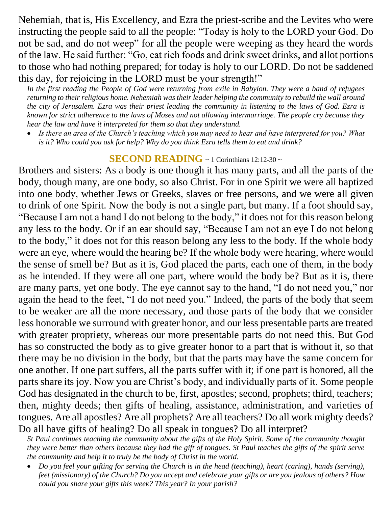Nehemiah, that is, His Excellency, and Ezra the priest-scribe and the Levites who were instructing the people said to all the people: "Today is holy to the LORD your God. Do not be sad, and do not weep" for all the people were weeping as they heard the words of the law. He said further: "Go, eat rich foods and drink sweet drinks, and allot portions to those who had nothing prepared; for today is holy to our LORD. Do not be saddened this day, for rejoicing in the LORD must be your strength!"

*In the first reading the People of God were returning from exile in Babylon. They were a band of refugees returning to their religious home. Nehemiah was their leader helping the community to rebuild the wall around the city of Jerusalem. Ezra was their priest leading the community in listening to the laws of God. Ezra is known for strict adherence to the laws of Moses and not allowing intermarriage. The people cry because they hear the law and have it interpreted for them so that they understand.* 

 *Is there an area of the Church's teaching which you may need to hear and have interpreted for you? What is it? Who could you ask for help? Why do you think Ezra tells them to eat and drink?*

### **SECOND READING** ~ 1 Corinthians 12:12-30 ~

Brothers and sisters: As a body is one though it has many parts, and all the parts of the body, though many, are one body, so also Christ. For in one Spirit we were all baptized into one body, whether Jews or Greeks, slaves or free persons, and we were all given to drink of one Spirit. Now the body is not a single part, but many. If a foot should say, "Because I am not a hand I do not belong to the body," it does not for this reason belong any less to the body. Or if an ear should say, "Because I am not an eye I do not belong to the body," it does not for this reason belong any less to the body. If the whole body were an eye, where would the hearing be? If the whole body were hearing, where would the sense of smell be? But as it is, God placed the parts, each one of them, in the body as he intended. If they were all one part, where would the body be? But as it is, there are many parts, yet one body. The eye cannot say to the hand, "I do not need you," nor again the head to the feet, "I do not need you." Indeed, the parts of the body that seem to be weaker are all the more necessary, and those parts of the body that we consider less honorable we surround with greater honor, and our less presentable parts are treated with greater propriety, whereas our more presentable parts do not need this. But God has so constructed the body as to give greater honor to a part that is without it, so that there may be no division in the body, but that the parts may have the same concern for one another. If one part suffers, all the parts suffer with it; if one part is honored, all the parts share its joy. Now you are Christ's body, and individually parts of it. Some people God has designated in the church to be, first, apostles; second, prophets; third, teachers; then, mighty deeds; then gifts of healing, assistance, administration, and varieties of tongues. Are all apostles? Are all prophets? Are all teachers? Do all work mighty deeds? Do all have gifts of healing? Do all speak in tongues? Do all interpret?

*St Paul continues teaching the community about the gifts of the Holy Spirit. Some of the community thought they were better than others because they had the gift of tongues. St Paul teaches the gifts of the spirit serve the community and help it to truly be the body of Christ in the world.* 

 *Do you feel your gifting for serving the Church is in the head (teaching), heart (caring), hands (serving), feet (missionary) of the Church? Do you accept and celebrate your gifts or are you jealous of others? How could you share your gifts this week? This year? In your parish?*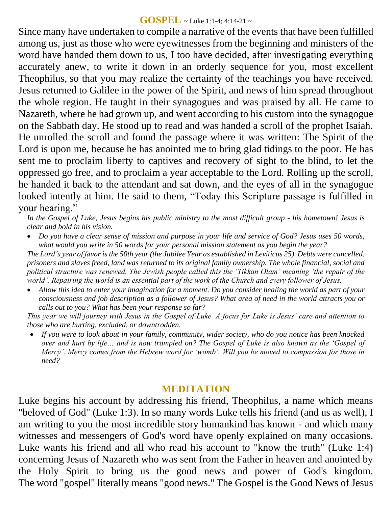#### **GOSPEL** ~ Luke 1:1-4; 4:14-21 ~

Since many have undertaken to compile a narrative of the events that have been fulfilled among us, just as those who were eyewitnesses from the beginning and ministers of the word have handed them down to us, I too have decided, after investigating everything accurately anew, to write it down in an orderly sequence for you, most excellent Theophilus, so that you may realize the certainty of the teachings you have received. Jesus returned to Galilee in the power of the Spirit, and news of him spread throughout the whole region. He taught in their synagogues and was praised by all. He came to Nazareth, where he had grown up, and went according to his custom into the synagogue on the Sabbath day. He stood up to read and was handed a scroll of the prophet Isaiah. He unrolled the scroll and found the passage where it was written: The Spirit of the Lord is upon me, because he has anointed me to bring glad tidings to the poor. He has sent me to proclaim liberty to captives and recovery of sight to the blind, to let the oppressed go free, and to proclaim a year acceptable to the Lord. Rolling up the scroll, he handed it back to the attendant and sat down, and the eyes of all in the synagogue looked intently at him. He said to them, "Today this Scripture passage is fulfilled in your hearing."

*In the Gospel of Luke, Jesus begins his public ministry to the most difficult group - his hometown! Jesus is clear and bold in his vision.* 

 *Do you have a clear sense of mission and purpose in your life and service of God? Jesus uses 50 words, what would you write in 50 words for your personal mission statement as you begin the year?*

*The Lord's year of favoris the 50th year (the Jubilee Year as established in Leviticus 25). Debts were cancelled, prisoners and slaves freed, land was returned to its original family ownership. The whole financial, social and political structure was renewed. The Jewish people called this the 'Tikkan Olam' meaning 'the repair of the world'. Repairing the world is an essential part of the work of the Church and every follower of Jesus.* 

• Allow this idea to enter your imagination for a moment. Do you consider healing the world as part of your *consciousness and job description as a follower of Jesus? What area of need in the world attracts you or calls out to you? What has been your response so far?*

*This year we will journey with Jesus in the Gospel of Luke. A focus for Luke is Jesus' care and attention to those who are hurting, excluded, or downtrodden.* 

 *If you were to look about in your family, community, wider society, who do you notice has been knocked over and hurt by life… and is now trampled on? The Gospel of Luke is also known as the 'Gospel of Mercy'. Mercy comes from the Hebrew word for 'womb'. Will you be moved to compassion for those in need?*

# **MEDITATION**

Luke begins his account by addressing his friend, Theophilus, a name which means "beloved of God" (Luke 1:3). In so many words Luke tells his friend (and us as well), I am writing to you the most incredible story humankind has known - and which many witnesses and messengers of God's word have openly explained on many occasions. Luke wants his friend and all who read his account to "know the truth" (Luke 1:4) concerning Jesus of Nazareth who was sent from the Father in heaven and anointed by the Holy Spirit to bring us the good news and power of God's kingdom. The word "gospel" literally means "good news." The Gospel is the Good News of Jesus